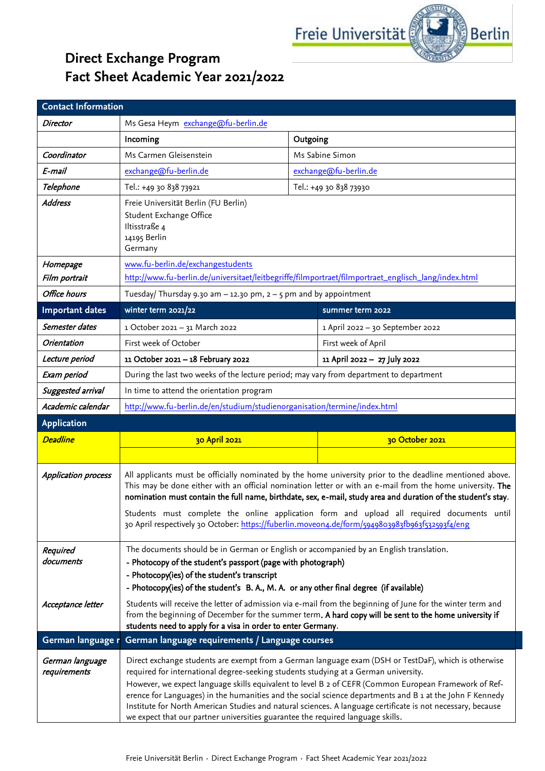

## **Direct Exchange Program Fact Sheet Academic Year 2021/2022**

| <b>Contact Information</b>                 |                                                                                                                                                                                                                                                                                                                                                                                                                                                                                                                                                                                                                    |                                                                                                      |                                  |  |
|--------------------------------------------|--------------------------------------------------------------------------------------------------------------------------------------------------------------------------------------------------------------------------------------------------------------------------------------------------------------------------------------------------------------------------------------------------------------------------------------------------------------------------------------------------------------------------------------------------------------------------------------------------------------------|------------------------------------------------------------------------------------------------------|----------------------------------|--|
| <b>Director</b>                            | Ms Gesa Heym exchange@fu-berlin.de                                                                                                                                                                                                                                                                                                                                                                                                                                                                                                                                                                                 |                                                                                                      |                                  |  |
|                                            | Incoming                                                                                                                                                                                                                                                                                                                                                                                                                                                                                                                                                                                                           | Outgoing                                                                                             |                                  |  |
| Coordinator                                | Ms Carmen Gleisenstein                                                                                                                                                                                                                                                                                                                                                                                                                                                                                                                                                                                             |                                                                                                      | Ms Sabine Simon                  |  |
| E-mail                                     | exchange@fu-berlin.de                                                                                                                                                                                                                                                                                                                                                                                                                                                                                                                                                                                              |                                                                                                      | exchange@fu-berlin.de            |  |
| Telephone                                  | Tel.: +49 30 838 73921                                                                                                                                                                                                                                                                                                                                                                                                                                                                                                                                                                                             |                                                                                                      | Tel.: +49 30 838 73930           |  |
| <b>Address</b>                             | Freie Universität Berlin (FU Berlin)<br>Student Exchange Office<br>Iltisstraße 4<br>14195 Berlin<br>Germany                                                                                                                                                                                                                                                                                                                                                                                                                                                                                                        |                                                                                                      |                                  |  |
| Homepage                                   | www.fu-berlin.de/exchangestudents                                                                                                                                                                                                                                                                                                                                                                                                                                                                                                                                                                                  |                                                                                                      |                                  |  |
| Film portrait                              |                                                                                                                                                                                                                                                                                                                                                                                                                                                                                                                                                                                                                    | http://www.fu-berlin.de/universitaet/leitbegriffe/filmportraet/filmportraet_englisch_lang/index.html |                                  |  |
| <b>Office hours</b>                        | Tuesday/ Thursday 9.30 am $-$ 12.30 pm, $2 - 5$ pm and by appointment                                                                                                                                                                                                                                                                                                                                                                                                                                                                                                                                              |                                                                                                      |                                  |  |
| <b>Important dates</b>                     | winter term 2021/22                                                                                                                                                                                                                                                                                                                                                                                                                                                                                                                                                                                                |                                                                                                      | summer term 2022                 |  |
| Semester dates                             | 1 October 2021 - 31 March 2022                                                                                                                                                                                                                                                                                                                                                                                                                                                                                                                                                                                     |                                                                                                      | 1 April 2022 - 30 September 2022 |  |
| <b>Orientation</b>                         | First week of October                                                                                                                                                                                                                                                                                                                                                                                                                                                                                                                                                                                              |                                                                                                      | First week of April              |  |
| Lecture period                             | 11 October 2021 - 18 February 2022                                                                                                                                                                                                                                                                                                                                                                                                                                                                                                                                                                                 |                                                                                                      | 11 April 2022 - 27 July 2022     |  |
| Exam period                                | During the last two weeks of the lecture period; may vary from department to department                                                                                                                                                                                                                                                                                                                                                                                                                                                                                                                            |                                                                                                      |                                  |  |
| Suggested arrival                          | In time to attend the orientation program                                                                                                                                                                                                                                                                                                                                                                                                                                                                                                                                                                          |                                                                                                      |                                  |  |
| Academic calendar                          | http://www.fu-berlin.de/en/studium/studienorganisation/termine/index.html                                                                                                                                                                                                                                                                                                                                                                                                                                                                                                                                          |                                                                                                      |                                  |  |
| <b>Application</b>                         |                                                                                                                                                                                                                                                                                                                                                                                                                                                                                                                                                                                                                    |                                                                                                      |                                  |  |
| <b>Deadline</b>                            | 30 April 2021                                                                                                                                                                                                                                                                                                                                                                                                                                                                                                                                                                                                      |                                                                                                      | 30 October 2021                  |  |
|                                            |                                                                                                                                                                                                                                                                                                                                                                                                                                                                                                                                                                                                                    |                                                                                                      |                                  |  |
| <b>Application process</b>                 | All applicants must be officially nominated by the home university prior to the deadline mentioned above.<br>This may be done either with an official nomination letter or with an e-mail from the home university. The<br>nomination must contain the full name, birthdate, sex, e-mail, study area and duration of the student's stay.<br>Students must complete the online application form and upload all required documents until<br>30 April respectively 30 October: https://fuberlin.moveon4.de/form/5949803983fb963f532593f4/eng                                                                          |                                                                                                      |                                  |  |
| Required<br>documents<br>Acceptance letter | The documents should be in German or English or accompanied by an English translation.<br>- Photocopy of the student's passport (page with photograph)<br>- Photocopy(ies) of the student's transcript<br>- Photocopy(ies) of the student's B.A., M.A. or any other final degree (if available)<br>Students will receive the letter of admission via e-mail from the beginning of June for the winter term and<br>from the beginning of December for the summer term. A hard copy will be sent to the home university if<br>students need to apply for a visa in order to enter Germany.                           |                                                                                                      |                                  |  |
| German language r                          | German language requirements / Language courses                                                                                                                                                                                                                                                                                                                                                                                                                                                                                                                                                                    |                                                                                                      |                                  |  |
| German language<br>requirements            | Direct exchange students are exempt from a German language exam (DSH or TestDaF), which is otherwise<br>required for international degree-seeking students studying at a German university.<br>However, we expect language skills equivalent to level B 2 of CEFR (Common European Framework of Ref-<br>erence for Languages) in the humanities and the social science departments and B 1 at the John F Kennedy<br>Institute for North American Studies and natural sciences. A language certificate is not necessary, because<br>we expect that our partner universities guarantee the required language skills. |                                                                                                      |                                  |  |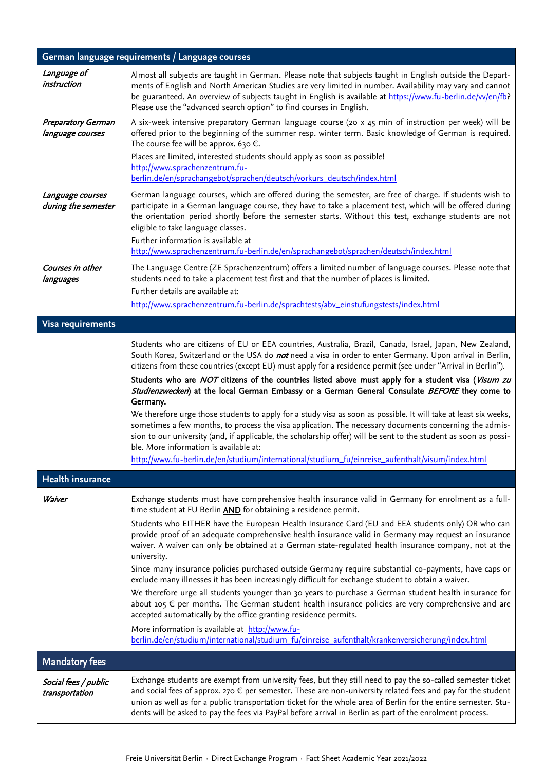| German language requirements / Language courses |                                                                                                                                                                                                                                                                                                                                                                                                                                                                                                                                                                                                                                                                                                                                                                                                                                                                                                                                                                                                                                                           |  |
|-------------------------------------------------|-----------------------------------------------------------------------------------------------------------------------------------------------------------------------------------------------------------------------------------------------------------------------------------------------------------------------------------------------------------------------------------------------------------------------------------------------------------------------------------------------------------------------------------------------------------------------------------------------------------------------------------------------------------------------------------------------------------------------------------------------------------------------------------------------------------------------------------------------------------------------------------------------------------------------------------------------------------------------------------------------------------------------------------------------------------|--|
| Language of<br>instruction                      | Almost all subjects are taught in German. Please note that subjects taught in English outside the Depart-<br>ments of English and North American Studies are very limited in number. Availability may vary and cannot<br>be guaranteed. An overview of subjects taught in English is available at https://www.fu-berlin.de/w/en/fb?<br>Please use the "advanced search option" to find courses in English.                                                                                                                                                                                                                                                                                                                                                                                                                                                                                                                                                                                                                                                |  |
| <b>Preparatory German</b><br>language courses   | A six-week intensive preparatory German language course (20 x 45 min of instruction per week) will be<br>offered prior to the beginning of the summer resp. winter term. Basic knowledge of German is required.<br>The course fee will be approx. 630 $\epsilon$ .                                                                                                                                                                                                                                                                                                                                                                                                                                                                                                                                                                                                                                                                                                                                                                                        |  |
|                                                 | Places are limited, interested students should apply as soon as possible!<br>http://www.sprachenzentrum.fu-<br>berlin.de/en/sprachangebot/sprachen/deutsch/vorkurs_deutsch/index.html                                                                                                                                                                                                                                                                                                                                                                                                                                                                                                                                                                                                                                                                                                                                                                                                                                                                     |  |
| Language courses<br>during the semester         | German language courses, which are offered during the semester, are free of charge. If students wish to<br>participate in a German language course, they have to take a placement test, which will be offered during<br>the orientation period shortly before the semester starts. Without this test, exchange students are not<br>eligible to take language classes.<br>Further information is available at<br>http://www.sprachenzentrum.fu-berlin.de/en/sprachangebot/sprachen/deutsch/index.html                                                                                                                                                                                                                                                                                                                                                                                                                                                                                                                                                      |  |
| Courses in other<br>languages                   | The Language Centre (ZE Sprachenzentrum) offers a limited number of language courses. Please note that<br>students need to take a placement test first and that the number of places is limited.<br>Further details are available at:<br>http://www.sprachenzentrum.fu-berlin.de/sprachtests/abv_einstufungstests/index.html                                                                                                                                                                                                                                                                                                                                                                                                                                                                                                                                                                                                                                                                                                                              |  |
|                                                 |                                                                                                                                                                                                                                                                                                                                                                                                                                                                                                                                                                                                                                                                                                                                                                                                                                                                                                                                                                                                                                                           |  |
| Visa requirements                               |                                                                                                                                                                                                                                                                                                                                                                                                                                                                                                                                                                                                                                                                                                                                                                                                                                                                                                                                                                                                                                                           |  |
|                                                 | Students who are citizens of EU or EEA countries, Australia, Brazil, Canada, Israel, Japan, New Zealand,<br>South Korea, Switzerland or the USA do not need a visa in order to enter Germany. Upon arrival in Berlin,<br>citizens from these countries (except EU) must apply for a residence permit (see under "Arrival in Berlin").<br>Students who are NOT citizens of the countries listed above must apply for a student visa (Visum zu<br>Studienzwecken) at the local German Embassy or a German General Consulate BEFORE they come to<br>Germany.<br>We therefore urge those students to apply for a study visa as soon as possible. It will take at least six weeks,<br>sometimes a few months, to process the visa application. The necessary documents concerning the admis-<br>sion to our university (and, if applicable, the scholarship offer) will be sent to the student as soon as possi-<br>ble. More information is available at:<br>http://www.fu-berlin.de/en/studium/international/studium_fu/einreise_aufenthalt/visum/index.html |  |
| <b>Health insurance</b>                         |                                                                                                                                                                                                                                                                                                                                                                                                                                                                                                                                                                                                                                                                                                                                                                                                                                                                                                                                                                                                                                                           |  |
| Waiver                                          | Exchange students must have comprehensive health insurance valid in Germany for enrolment as a full-<br>time student at FU Berlin AND for obtaining a residence permit.                                                                                                                                                                                                                                                                                                                                                                                                                                                                                                                                                                                                                                                                                                                                                                                                                                                                                   |  |
|                                                 | Students who EITHER have the European Health Insurance Card (EU and EEA students only) OR who can<br>provide proof of an adequate comprehensive health insurance valid in Germany may request an insurance<br>waiver. A waiver can only be obtained at a German state-regulated health insurance company, not at the<br>university.                                                                                                                                                                                                                                                                                                                                                                                                                                                                                                                                                                                                                                                                                                                       |  |
|                                                 | Since many insurance policies purchased outside Germany require substantial co-payments, have caps or<br>exclude many illnesses it has been increasingly difficult for exchange student to obtain a waiver.                                                                                                                                                                                                                                                                                                                                                                                                                                                                                                                                                                                                                                                                                                                                                                                                                                               |  |
|                                                 | We therefore urge all students younger than 30 years to purchase a German student health insurance for<br>about $105 \in$ per months. The German student health insurance policies are very comprehensive and are<br>accepted automatically by the office granting residence permits.                                                                                                                                                                                                                                                                                                                                                                                                                                                                                                                                                                                                                                                                                                                                                                     |  |
|                                                 | More information is available at http://www.fu-<br>berlin.de/en/studium/international/studium_fu/einreise_aufenthalt/krankenversicherung/index.html                                                                                                                                                                                                                                                                                                                                                                                                                                                                                                                                                                                                                                                                                                                                                                                                                                                                                                       |  |
| <b>Mandatory fees</b>                           |                                                                                                                                                                                                                                                                                                                                                                                                                                                                                                                                                                                                                                                                                                                                                                                                                                                                                                                                                                                                                                                           |  |
| Social fees / public<br>transportation          | Exchange students are exempt from university fees, but they still need to pay the so-called semester ticket<br>and social fees of approx. 270 $\in$ per semester. These are non-university related fees and pay for the student<br>union as well as for a public transportation ticket for the whole area of Berlin for the entire semester. Stu-<br>dents will be asked to pay the fees via PayPal before arrival in Berlin as part of the enrolment process.                                                                                                                                                                                                                                                                                                                                                                                                                                                                                                                                                                                            |  |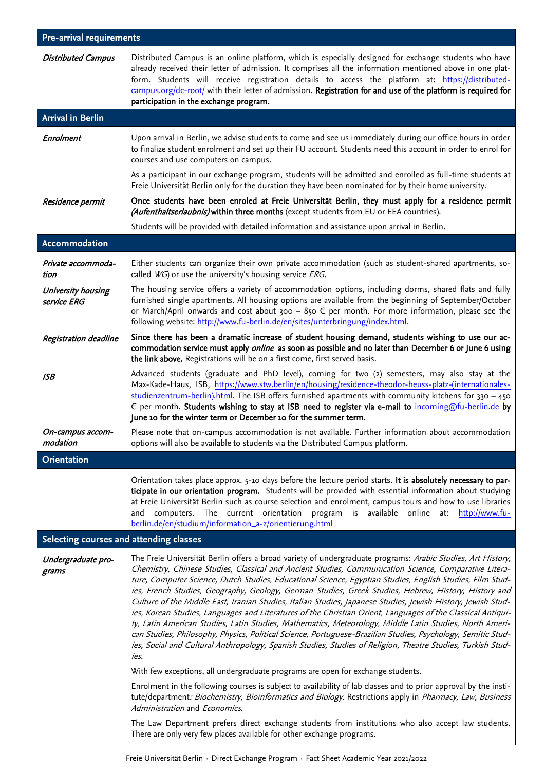| <b>Pre-arrival requirements</b>         |                                                                                                                                                                                                                                                                                                                                                                                                                                                                                                                                                                                                                                                                                                                                                                                                                                                                                                                                                                                                                                                                                                                                                                                                                                                                                                                                                                                                                                                                                       |  |
|-----------------------------------------|---------------------------------------------------------------------------------------------------------------------------------------------------------------------------------------------------------------------------------------------------------------------------------------------------------------------------------------------------------------------------------------------------------------------------------------------------------------------------------------------------------------------------------------------------------------------------------------------------------------------------------------------------------------------------------------------------------------------------------------------------------------------------------------------------------------------------------------------------------------------------------------------------------------------------------------------------------------------------------------------------------------------------------------------------------------------------------------------------------------------------------------------------------------------------------------------------------------------------------------------------------------------------------------------------------------------------------------------------------------------------------------------------------------------------------------------------------------------------------------|--|
| <b>Distributed Campus</b>               | Distributed Campus is an online platform, which is especially designed for exchange students who have<br>already received their letter of admission. It comprises all the information mentioned above in one plat-<br>form. Students will receive registration details to access the platform at: https://distributed-<br>campus.org/dc-root/ with their letter of admission. Registration for and use of the platform is required for<br>participation in the exchange program.                                                                                                                                                                                                                                                                                                                                                                                                                                                                                                                                                                                                                                                                                                                                                                                                                                                                                                                                                                                                      |  |
| <b>Arrival in Berlin</b>                |                                                                                                                                                                                                                                                                                                                                                                                                                                                                                                                                                                                                                                                                                                                                                                                                                                                                                                                                                                                                                                                                                                                                                                                                                                                                                                                                                                                                                                                                                       |  |
| Enrolment                               | Upon arrival in Berlin, we advise students to come and see us immediately during our office hours in order<br>to finalize student enrolment and set up their FU account. Students need this account in order to enrol for<br>courses and use computers on campus.                                                                                                                                                                                                                                                                                                                                                                                                                                                                                                                                                                                                                                                                                                                                                                                                                                                                                                                                                                                                                                                                                                                                                                                                                     |  |
|                                         | As a participant in our exchange program, students will be admitted and enrolled as full-time students at<br>Freie Universität Berlin only for the duration they have been nominated for by their home university.                                                                                                                                                                                                                                                                                                                                                                                                                                                                                                                                                                                                                                                                                                                                                                                                                                                                                                                                                                                                                                                                                                                                                                                                                                                                    |  |
| Residence permit                        | Once students have been enroled at Freie Universität Berlin, they must apply for a residence permit<br>(Aufenthaltserlaubnis) within three months (except students from EU or EEA countries).                                                                                                                                                                                                                                                                                                                                                                                                                                                                                                                                                                                                                                                                                                                                                                                                                                                                                                                                                                                                                                                                                                                                                                                                                                                                                         |  |
|                                         | Students will be provided with detailed information and assistance upon arrival in Berlin.                                                                                                                                                                                                                                                                                                                                                                                                                                                                                                                                                                                                                                                                                                                                                                                                                                                                                                                                                                                                                                                                                                                                                                                                                                                                                                                                                                                            |  |
| Accommodation                           |                                                                                                                                                                                                                                                                                                                                                                                                                                                                                                                                                                                                                                                                                                                                                                                                                                                                                                                                                                                                                                                                                                                                                                                                                                                                                                                                                                                                                                                                                       |  |
| Private accommoda-<br>tion              | Either students can organize their own private accommodation (such as student-shared apartments, so-<br>called $WG$ ) or use the university's housing service <i>ERG</i> .                                                                                                                                                                                                                                                                                                                                                                                                                                                                                                                                                                                                                                                                                                                                                                                                                                                                                                                                                                                                                                                                                                                                                                                                                                                                                                            |  |
| University housing<br>service ERG       | The housing service offers a variety of accommodation options, including dorms, shared flats and fully<br>furnished single apartments. All housing options are available from the beginning of September/October<br>or March/April onwards and cost about 300 - 850 $\in$ per month. For more information, please see the<br>following website: http://www.fu-berlin.de/en/sites/unterbringung/index.html.                                                                                                                                                                                                                                                                                                                                                                                                                                                                                                                                                                                                                                                                                                                                                                                                                                                                                                                                                                                                                                                                            |  |
| Registration deadline                   | Since there has been a dramatic increase of student housing demand, students wishing to use our ac-<br>commodation service must apply <i>online</i> as soon as possible and no later than December 6 or June 6 using<br>the link above. Registrations will be on a first come, first served basis.                                                                                                                                                                                                                                                                                                                                                                                                                                                                                                                                                                                                                                                                                                                                                                                                                                                                                                                                                                                                                                                                                                                                                                                    |  |
| <b>ISB</b>                              | Advanced students (graduate and PhD level), coming for two (2) semesters, may also stay at the<br>Max-Kade-Haus, ISB, https://www.stw.berlin/en/housing/residence-theodor-heuss-platz-(internationales-<br>$studienzentrum-berlin).$ html. The ISB offers furnished apartments with community kitchens for 330 - 450<br>€ per month. Students wishing to stay at ISB need to register via e-mail to incoming@fu-berlin.de by<br>June 10 for the winter term or December 10 for the summer term.                                                                                                                                                                                                                                                                                                                                                                                                                                                                                                                                                                                                                                                                                                                                                                                                                                                                                                                                                                                       |  |
| On-campus accom-<br>modation            | Please note that on-campus accommodation is not available. Further information about accommodation<br>options will also be available to students via the Distributed Campus platform.                                                                                                                                                                                                                                                                                                                                                                                                                                                                                                                                                                                                                                                                                                                                                                                                                                                                                                                                                                                                                                                                                                                                                                                                                                                                                                 |  |
| <b>Orientation</b>                      |                                                                                                                                                                                                                                                                                                                                                                                                                                                                                                                                                                                                                                                                                                                                                                                                                                                                                                                                                                                                                                                                                                                                                                                                                                                                                                                                                                                                                                                                                       |  |
|                                         | Orientation takes place approx. 5-10 days before the lecture period starts. It is absolutely necessary to par-<br>ticipate in our orientation program. Students will be provided with essential information about studying<br>at Freie Universität Berlin such as course selection and enrolment, campus tours and how to use libraries<br>program is<br>computers. The current orientation<br>available online<br>http://www.fu-<br>at:<br>and<br>berlin.de/en/studium/information_a-z/orientierung.html                                                                                                                                                                                                                                                                                                                                                                                                                                                                                                                                                                                                                                                                                                                                                                                                                                                                                                                                                                             |  |
| Selecting courses and attending classes |                                                                                                                                                                                                                                                                                                                                                                                                                                                                                                                                                                                                                                                                                                                                                                                                                                                                                                                                                                                                                                                                                                                                                                                                                                                                                                                                                                                                                                                                                       |  |
| Undergraduate pro-<br>grams             | The Freie Universität Berlin offers a broad variety of undergraduate programs: Arabic Studies, Art History,<br>Chemistry, Chinese Studies, Classical and Ancient Studies, Communication Science, Comparative Litera-<br>ture, Computer Science, Dutch Studies, Educational Science, Egyptian Studies, English Studies, Film Stud-<br>ies, French Studies, Geography, Geology, German Studies, Greek Studies, Hebrew, History, History and<br>Culture of the Middle East, Iranian Studies, Italian Studies, Japanese Studies, Jewish History, Jewish Stud-<br>ies, Korean Studies, Languages and Literatures of the Christian Orient, Languages of the Classical Antiqui-<br>ty, Latin American Studies, Latin Studies, Mathematics, Meteorology, Middle Latin Studies, North Ameri-<br>can Studies, Philosophy, Physics, Political Science, Portuguese-Brazilian Studies, Psychology, Semitic Stud-<br>ies, Social and Cultural Anthropology, Spanish Studies, Studies of Religion, Theatre Studies, Turkish Stud-<br>ies.<br>With few exceptions, all undergraduate programs are open for exchange students.<br>Enrolment in the following courses is subject to availability of lab classes and to prior approval by the insti-<br>tute/department: Biochemistry, Bioinformatics and Biology. Restrictions apply in Pharmacy, Law, Business<br>Administration and Economics.<br>The Law Department prefers direct exchange students from institutions who also accept law students. |  |
|                                         | There are only very few places available for other exchange programs.                                                                                                                                                                                                                                                                                                                                                                                                                                                                                                                                                                                                                                                                                                                                                                                                                                                                                                                                                                                                                                                                                                                                                                                                                                                                                                                                                                                                                 |  |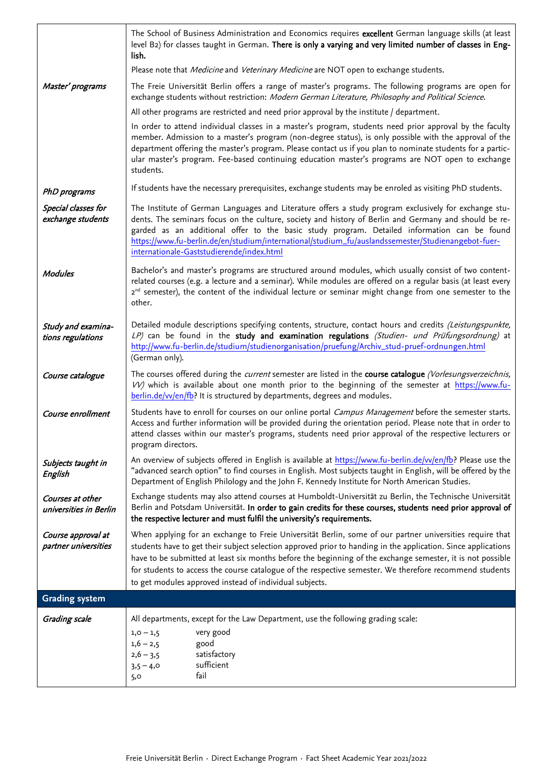|                                            | The School of Business Administration and Economics requires excellent German language skills (at least<br>level B2) for classes taught in German. There is only a varying and very limited number of classes in Eng-<br>lish.                                                                                                                                                                                                                                                                                |
|--------------------------------------------|---------------------------------------------------------------------------------------------------------------------------------------------------------------------------------------------------------------------------------------------------------------------------------------------------------------------------------------------------------------------------------------------------------------------------------------------------------------------------------------------------------------|
|                                            | Please note that <i>Medicine</i> and <i>Veterinary Medicine</i> are NOT open to exchange students.                                                                                                                                                                                                                                                                                                                                                                                                            |
| Master' programs                           | The Freie Universität Berlin offers a range of master's programs. The following programs are open for<br>exchange students without restriction: Modern German Literature, Philosophy and Political Science.                                                                                                                                                                                                                                                                                                   |
|                                            | All other programs are restricted and need prior approval by the institute / department.                                                                                                                                                                                                                                                                                                                                                                                                                      |
|                                            | In order to attend individual classes in a master's program, students need prior approval by the faculty<br>member. Admission to a master's program (non-degree status), is only possible with the approval of the<br>department offering the master's program. Please contact us if you plan to nominate students for a partic-<br>ular master's program. Fee-based continuing education master's programs are NOT open to exchange<br>students.                                                             |
| PhD programs                               | If students have the necessary prerequisites, exchange students may be enroled as visiting PhD students.                                                                                                                                                                                                                                                                                                                                                                                                      |
| Special classes for<br>exchange students   | The Institute of German Languages and Literature offers a study program exclusively for exchange stu-<br>dents. The seminars focus on the culture, society and history of Berlin and Germany and should be re-<br>garded as an additional offer to the basic study program. Detailed information can be found<br>https://www.fu-berlin.de/en/studium/international/studium_fu/auslandssemester/Studienangebot-fuer-<br>internationale-Gaststudierende/index.html                                              |
| <b>Modules</b>                             | Bachelor's and master's programs are structured around modules, which usually consist of two content-<br>related courses (e.g. a lecture and a seminar). While modules are offered on a regular basis (at least every<br>2 <sup>nd</sup> semester), the content of the individual lecture or seminar might change from one semester to the<br>other.                                                                                                                                                          |
| Study and examina-<br>tions regulations    | Detailed module descriptions specifying contents, structure, contact hours and credits (Leistungspunkte,<br>LP) can be found in the study and examination regulations (Studien- und Prüfungsordnung) at<br>http://www.fu-berlin.de/studium/studienorganisation/pruefung/Archiv_stud-pruef-ordnungen.html<br>(German only).                                                                                                                                                                                    |
| Course catalogue                           | The courses offered during the <i>current</i> semester are listed in the course catalogue (Vorlesungsverzeichnis,<br>VV) which is available about one month prior to the beginning of the semester at https://www.fu-<br>berlin.de/w/en/fb? It is structured by departments, degrees and modules.                                                                                                                                                                                                             |
| Course enrollment                          | Students have to enroll for courses on our online portal Campus Management before the semester starts.<br>Access and further information will be provided during the orientation period. Please note that in order to<br>attend classes within our master's programs, students need prior approval of the respective lecturers or<br>program directors.                                                                                                                                                       |
| Subjects taught in<br>English              | An overview of subjects offered in English is available at https://www.fu-berlin.de/vv/en/fb? Please use the<br>"advanced search option" to find courses in English. Most subjects taught in English, will be offered by the<br>Department of English Philology and the John F. Kennedy Institute for North American Studies.                                                                                                                                                                                 |
| Courses at other<br>universities in Berlin | Exchange students may also attend courses at Humboldt-Universität zu Berlin, the Technische Universität<br>Berlin and Potsdam Universität. In order to gain credits for these courses, students need prior approval of<br>the respective lecturer and must fulfil the university's requirements.                                                                                                                                                                                                              |
| Course approval at<br>partner universities | When applying for an exchange to Freie Universität Berlin, some of our partner universities require that<br>students have to get their subject selection approved prior to handing in the application. Since applications<br>have to be submitted at least six months before the beginning of the exchange semester, it is not possible<br>for students to access the course catalogue of the respective semester. We therefore recommend students<br>to get modules approved instead of individual subjects. |
| <b>Grading system</b>                      |                                                                                                                                                                                                                                                                                                                                                                                                                                                                                                               |
| Grading scale                              | All departments, except for the Law Department, use the following grading scale:                                                                                                                                                                                                                                                                                                                                                                                                                              |
|                                            | very good<br>$1,0 - 1,5$<br>good<br>$1,6 - 2,5$<br>satisfactory<br>$2,6 - 3,5$<br>sufficient<br>$3,5 - 4,0$<br>fail<br>5,0                                                                                                                                                                                                                                                                                                                                                                                    |